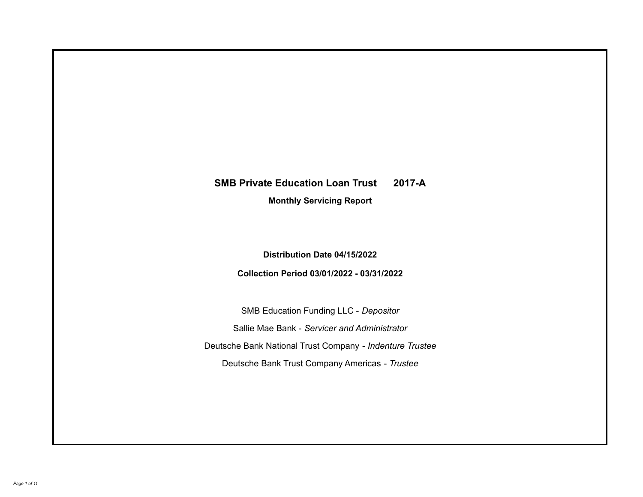# **SMB Private Education Loan Trust 2017-A**

**Monthly Servicing Report**

**Distribution Date 04/15/2022**

**Collection Period 03/01/2022 - 03/31/2022**

SMB Education Funding LLC - *Depositor* Sallie Mae Bank - *Servicer and Administrator* Deutsche Bank National Trust Company - *Indenture Trustee* Deutsche Bank Trust Company Americas - *Trustee*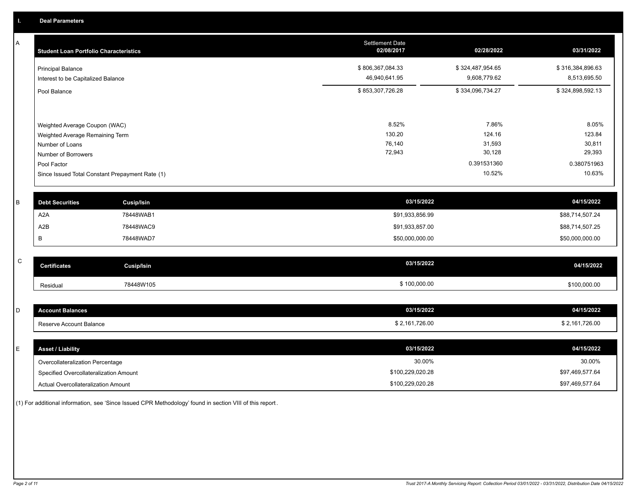A

| А | <b>Student Loan Portfolio Characteristics</b>   | <b>Settlement Date</b><br>02/08/2017 | 02/28/2022       | 03/31/2022       |
|---|-------------------------------------------------|--------------------------------------|------------------|------------------|
|   | <b>Principal Balance</b>                        | \$806,367,084.33                     | \$324,487,954.65 | \$316,384,896.63 |
|   | Interest to be Capitalized Balance              | 46,940,641.95                        | 9,608,779.62     | 8,513,695.50     |
|   | Pool Balance                                    | \$853,307,726.28                     | \$334,096,734.27 | \$324,898,592.13 |
|   |                                                 |                                      |                  |                  |
|   | Weighted Average Coupon (WAC)                   | 8.52%                                | 7.86%            | 8.05%            |
|   | Weighted Average Remaining Term                 | 130.20                               | 124.16           | 123.84           |
|   | Number of Loans                                 | 76,140                               | 31,593           | 30,811           |
|   | Number of Borrowers                             | 72,943                               | 30,128           | 29,393           |
|   | Pool Factor                                     |                                      | 0.391531360      | 0.380751963      |
|   | Since Issued Total Constant Prepayment Rate (1) |                                      | 10.52%           | 10.63%           |
| B | <b>Debt Securities</b><br><b>Cusip/Isin</b>     | 03/15/2022                           |                  | 04/15/2022       |
|   | A <sub>2</sub> A<br>78448WAB1                   | \$91,933,856.99                      |                  | \$88,714,507.24  |
|   |                                                 |                                      |                  |                  |
|   | A <sub>2</sub> B<br>78448WAC9                   | \$91,933,857.00                      |                  | \$88,714,507.25  |
|   | B<br>78448WAD7                                  | \$50,000,000.00                      |                  | \$50,000,000.00  |
| C |                                                 | 03/15/2022                           |                  | 04/15/2022       |
|   | <b>Certificates</b><br><b>Cusip/Isin</b>        |                                      |                  |                  |
|   | 78448W105<br>Residual                           | \$100,000.00                         |                  | \$100,000.00     |
|   |                                                 |                                      |                  |                  |
| D | <b>Account Balances</b>                         | 03/15/2022                           |                  | 04/15/2022       |
|   | Reserve Account Balance                         | \$2,161,726.00                       |                  | \$2,161,726.00   |
|   |                                                 |                                      |                  |                  |
| E | <b>Asset / Liability</b>                        | 03/15/2022                           |                  | 04/15/2022       |
|   | Overcollateralization Percentage                | 30.00%                               |                  | 30.00%           |
|   | Specified Overcollateralization Amount          | \$100,229,020.28                     |                  | \$97,469,577.64  |

(1) For additional information, see 'Since Issued CPR Methodology' found in section VIII of this report .

Actual Overcollateralization Amount \$100,229,020.28

\$97,469,577.64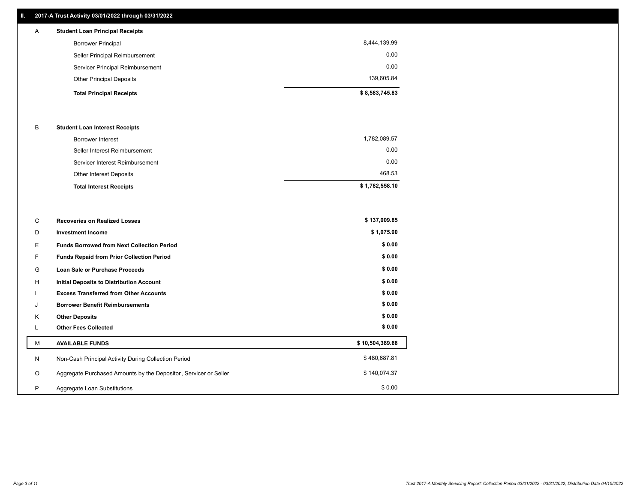# **II. 2017-A Trust Activity 03/01/2022 through 03/31/2022**

| $\mathsf{A}$ | <b>Student Loan Principal Receipts</b> |                |
|--------------|----------------------------------------|----------------|
|              | <b>Borrower Principal</b>              | 8,444,139.99   |
|              | Seller Principal Reimbursement         | 0.00           |
|              | Servicer Principal Reimbursement       | 0.00           |
|              | <b>Other Principal Deposits</b>        | 139,605.84     |
|              | <b>Total Principal Receipts</b>        | \$8,583,745.83 |

## B **Student Loan Interest Receipts**

| <b>Total Interest Receipts</b>  | \$1,782,558.10 |
|---------------------------------|----------------|
| <b>Other Interest Deposits</b>  | 468.53         |
| Servicer Interest Reimbursement | 0.00           |
| Seller Interest Reimbursement   | 0.00           |
| Borrower Interest               | 1,782,089.57   |

| С       | <b>Recoveries on Realized Losses</b>                             | \$137,009.85    |
|---------|------------------------------------------------------------------|-----------------|
| D       | <b>Investment Income</b>                                         | \$1,075.90      |
| Е       | <b>Funds Borrowed from Next Collection Period</b>                | \$0.00          |
|         | <b>Funds Repaid from Prior Collection Period</b>                 | \$0.00          |
| G       | Loan Sale or Purchase Proceeds                                   | \$0.00          |
| H       | Initial Deposits to Distribution Account                         | \$0.00          |
|         | <b>Excess Transferred from Other Accounts</b>                    | \$0.00          |
| J       | <b>Borrower Benefit Reimbursements</b>                           | \$0.00          |
| K       | <b>Other Deposits</b>                                            | \$0.00          |
| L.      | <b>Other Fees Collected</b>                                      | \$0.00          |
| M       | <b>AVAILABLE FUNDS</b>                                           | \$10,504,389.68 |
| N       | Non-Cash Principal Activity During Collection Period             | \$480,687.81    |
| $\circ$ | Aggregate Purchased Amounts by the Depositor, Servicer or Seller | \$140,074.37    |
| P       | Aggregate Loan Substitutions                                     | \$0.00          |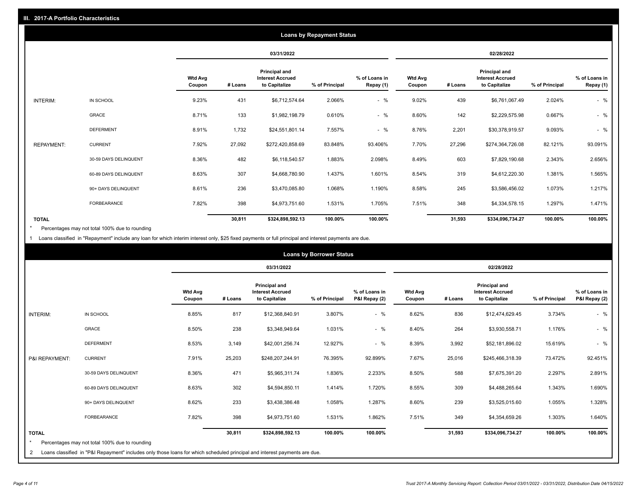|                   | <b>Loans by Repayment Status</b> |                          |            |                                                           |                |                            |                          |         |                                                           |                |                            |
|-------------------|----------------------------------|--------------------------|------------|-----------------------------------------------------------|----------------|----------------------------|--------------------------|---------|-----------------------------------------------------------|----------------|----------------------------|
|                   |                                  |                          | 03/31/2022 |                                                           |                | 02/28/2022                 |                          |         |                                                           |                |                            |
|                   |                                  | <b>Wtd Avg</b><br>Coupon | # Loans    | Principal and<br><b>Interest Accrued</b><br>to Capitalize | % of Principal | % of Loans in<br>Repay (1) | <b>Wtd Avg</b><br>Coupon | # Loans | Principal and<br><b>Interest Accrued</b><br>to Capitalize | % of Principal | % of Loans in<br>Repay (1) |
| INTERIM:          | IN SCHOOL                        | 9.23%                    | 431        | \$6,712,574.64                                            | 2.066%         | $-$ %                      | 9.02%                    | 439     | \$6,761,067.49                                            | 2.024%         | $-$ %                      |
|                   | GRACE                            | 8.71%                    | 133        | \$1,982,198.79                                            | 0.610%         | $-$ %                      | 8.60%                    | 142     | \$2,229,575.98                                            | 0.667%         | $-$ %                      |
|                   | <b>DEFERMENT</b>                 | 8.91%                    | 1,732      | \$24,551,801.14                                           | 7.557%         | $-$ %                      | 8.76%                    | 2,201   | \$30,378,919.57                                           | 9.093%         | $-$ %                      |
| <b>REPAYMENT:</b> | <b>CURRENT</b>                   | 7.92%                    | 27,092     | \$272,420,858.69                                          | 83.848%        | 93.406%                    | 7.70%                    | 27,296  | \$274,364,726.08                                          | 82.121%        | 93.091%                    |
|                   | 30-59 DAYS DELINQUENT            | 8.36%                    | 482        | \$6,118,540.57                                            | 1.883%         | 2.098%                     | 8.49%                    | 603     | \$7,829,190.68                                            | 2.343%         | 2.656%                     |
|                   | 60-89 DAYS DELINQUENT            | 8.63%                    | 307        | \$4,668,780.90                                            | 1.437%         | 1.601%                     | 8.54%                    | 319     | \$4,612,220.30                                            | 1.381%         | 1.565%                     |
|                   | 90+ DAYS DELINQUENT              | 8.61%                    | 236        | \$3,470,085.80                                            | 1.068%         | 1.190%                     | 8.58%                    | 245     | \$3,586,456.02                                            | 1.073%         | 1.217%                     |
|                   | FORBEARANCE                      | 7.82%                    | 398        | \$4,973,751.60                                            | 1.531%         | 1.705%                     | 7.51%                    | 348     | \$4,334,578.15                                            | 1.297%         | 1.471%                     |
| <b>TOTAL</b>      |                                  |                          | 30,811     | \$324,898,592.13                                          | 100.00%        | 100.00%                    |                          | 31,593  | \$334,096,734.27                                          | 100.00%        | 100.00%                    |

Percentages may not total 100% due to rounding \*

1 Loans classified in "Repayment" include any loan for which interim interest only, \$25 fixed payments or full principal and interest payments are due.

|                         |                                                                                                                            |                          | <b>Loans by Borrower Status</b> |                                                                  |                |                                |                          |         |                                                                  |                |                                |
|-------------------------|----------------------------------------------------------------------------------------------------------------------------|--------------------------|---------------------------------|------------------------------------------------------------------|----------------|--------------------------------|--------------------------|---------|------------------------------------------------------------------|----------------|--------------------------------|
|                         |                                                                                                                            |                          | 03/31/2022                      |                                                                  |                | 02/28/2022                     |                          |         |                                                                  |                |                                |
|                         |                                                                                                                            | <b>Wtd Avg</b><br>Coupon | # Loans                         | <b>Principal and</b><br><b>Interest Accrued</b><br>to Capitalize | % of Principal | % of Loans in<br>P&I Repay (2) | <b>Wtd Avg</b><br>Coupon | # Loans | <b>Principal and</b><br><b>Interest Accrued</b><br>to Capitalize | % of Principal | % of Loans in<br>P&I Repay (2) |
| <b>INTERIM:</b>         | IN SCHOOL                                                                                                                  | 8.85%                    | 817                             | \$12,368,840.91                                                  | 3.807%         | $-$ %                          | 8.62%                    | 836     | \$12,474,629.45                                                  | 3.734%         | $-$ %                          |
|                         | <b>GRACE</b>                                                                                                               | 8.50%                    | 238                             | \$3,348,949.64                                                   | 1.031%         | $-$ %                          | 8.40%                    | 264     | \$3,930,558.71                                                   | 1.176%         | $-$ %                          |
|                         | <b>DEFERMENT</b>                                                                                                           | 8.53%                    | 3,149                           | \$42,001,256.74                                                  | 12.927%        | $-$ %                          | 8.39%                    | 3,992   | \$52,181,896.02                                                  | 15.619%        | $-$ %                          |
| P&I REPAYMENT:          | <b>CURRENT</b>                                                                                                             | 7.91%                    | 25,203                          | \$248,207,244.91                                                 | 76.395%        | 92.899%                        | 7.67%                    | 25,016  | \$245,466,318.39                                                 | 73.472%        | 92.451%                        |
|                         | 30-59 DAYS DELINQUENT                                                                                                      | 8.36%                    | 471                             | \$5,965,311.74                                                   | 1.836%         | 2.233%                         | 8.50%                    | 588     | \$7,675,391.20                                                   | 2.297%         | 2.891%                         |
|                         | 60-89 DAYS DELINQUENT                                                                                                      | 8.63%                    | 302                             | \$4,594,850.11                                                   | 1.414%         | 1.720%                         | 8.55%                    | 309     | \$4,488,265.64                                                   | 1.343%         | 1.690%                         |
|                         | 90+ DAYS DELINQUENT                                                                                                        | 8.62%                    | 233                             | \$3,438,386.48                                                   | 1.058%         | 1.287%                         | 8.60%                    | 239     | \$3,525,015.60                                                   | 1.055%         | 1.328%                         |
|                         | <b>FORBEARANCE</b>                                                                                                         | 7.82%                    | 398                             | \$4,973,751.60                                                   | 1.531%         | 1.862%                         | 7.51%                    | 349     | \$4,354,659.26                                                   | 1.303%         | 1.640%                         |
| <b>TOTAL</b><br>$\star$ | Percentages may not total 100% due to rounding                                                                             |                          | 30,811                          | \$324,898,592.13                                                 | 100.00%        | 100.00%                        |                          | 31,593  | \$334,096,734.27                                                 | 100.00%        | 100.00%                        |
| 2                       | Loans classified in "P&I Repayment" includes only those loans for which scheduled principal and interest payments are due. |                          |                                 |                                                                  |                |                                |                          |         |                                                                  |                |                                |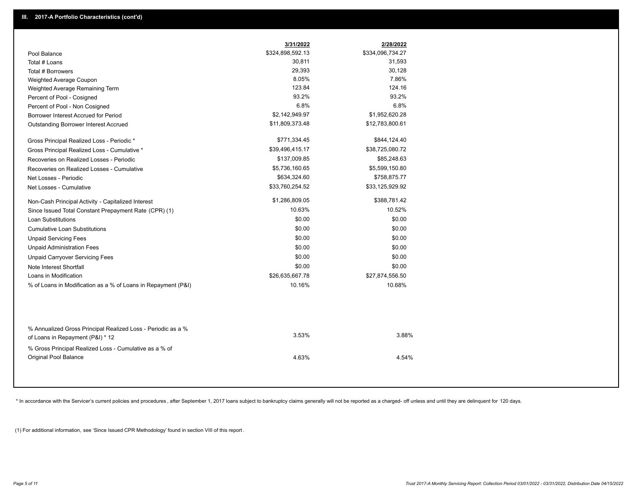|                                                                                        | 3/31/2022        | 2/28/2022        |  |
|----------------------------------------------------------------------------------------|------------------|------------------|--|
| Pool Balance                                                                           | \$324,898,592.13 | \$334,096,734.27 |  |
| Total # Loans                                                                          | 30,811           | 31,593           |  |
| Total # Borrowers                                                                      | 29,393           | 30,128           |  |
| Weighted Average Coupon                                                                | 8.05%            | 7.86%            |  |
| Weighted Average Remaining Term                                                        | 123.84           | 124.16           |  |
| Percent of Pool - Cosigned                                                             | 93.2%            | 93.2%            |  |
| Percent of Pool - Non Cosigned                                                         | 6.8%             | 6.8%             |  |
| Borrower Interest Accrued for Period                                                   | \$2,142,949.97   | \$1,952,620.28   |  |
| Outstanding Borrower Interest Accrued                                                  | \$11,809,373.48  | \$12,783,800.61  |  |
| Gross Principal Realized Loss - Periodic *                                             | \$771,334.45     | \$844,124.40     |  |
| Gross Principal Realized Loss - Cumulative *                                           | \$39,496,415.17  | \$38,725,080.72  |  |
| Recoveries on Realized Losses - Periodic                                               | \$137,009.85     | \$85,248.63      |  |
| Recoveries on Realized Losses - Cumulative                                             | \$5,736,160.65   | \$5,599,150.80   |  |
| Net Losses - Periodic                                                                  | \$634,324.60     | \$758,875.77     |  |
| Net Losses - Cumulative                                                                | \$33,760,254.52  | \$33,125,929.92  |  |
| Non-Cash Principal Activity - Capitalized Interest                                     | \$1,286,809.05   | \$388,781.42     |  |
| Since Issued Total Constant Prepayment Rate (CPR) (1)                                  | 10.63%           | 10.52%           |  |
| <b>Loan Substitutions</b>                                                              | \$0.00           | \$0.00           |  |
| <b>Cumulative Loan Substitutions</b>                                                   | \$0.00           | \$0.00           |  |
| <b>Unpaid Servicing Fees</b>                                                           | \$0.00           | \$0.00           |  |
| <b>Unpaid Administration Fees</b>                                                      | \$0.00           | \$0.00           |  |
| <b>Unpaid Carryover Servicing Fees</b>                                                 | \$0.00           | \$0.00           |  |
| Note Interest Shortfall                                                                | \$0.00           | \$0.00           |  |
| Loans in Modification                                                                  | \$26,635,667.78  | \$27,874,556.50  |  |
| % of Loans in Modification as a % of Loans in Repayment (P&I)                          | 10.16%           | 10.68%           |  |
| % Annualized Gross Principal Realized Loss - Periodic as a %                           |                  |                  |  |
| of Loans in Repayment (P&I) * 12                                                       | 3.53%            | 3.88%            |  |
| % Gross Principal Realized Loss - Cumulative as a % of<br><b>Original Pool Balance</b> | 4.63%            | 4.54%            |  |

\* In accordance with the Servicer's current policies and procedures, after September 1, 2017 loans subject to bankruptcy claims generally will not be reported as a charged- off unless and until they are delinquent for 120

(1) For additional information, see 'Since Issued CPR Methodology' found in section VIII of this report .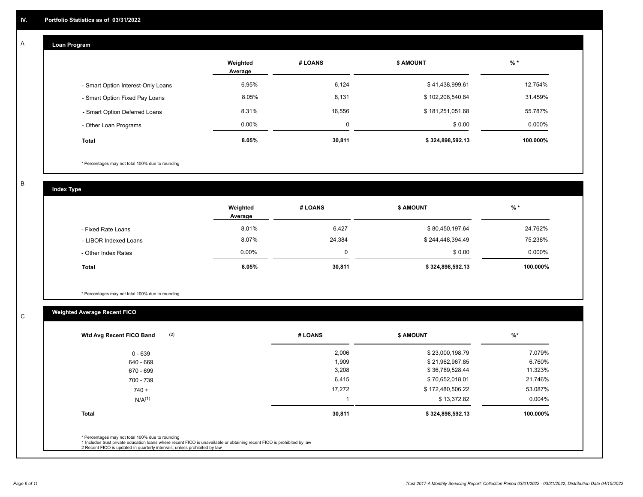#### **Loan Program**  A

|                                    | Weighted<br>Average | # LOANS     | <b>\$ AMOUNT</b> | $%$ *    |
|------------------------------------|---------------------|-------------|------------------|----------|
| - Smart Option Interest-Only Loans | 6.95%               | 6,124       | \$41,438,999.61  | 12.754%  |
| - Smart Option Fixed Pay Loans     | 8.05%               | 8,131       | \$102,208,540.84 | 31.459%  |
| - Smart Option Deferred Loans      | 8.31%               | 16.556      | \$181,251,051.68 | 55.787%  |
| - Other Loan Programs              | $0.00\%$            | $\mathbf 0$ | \$0.00           | 0.000%   |
| <b>Total</b>                       | 8.05%               | 30,811      | \$324,898,592.13 | 100.000% |

\* Percentages may not total 100% due to rounding

B

C

**Index Type**

|                       | Weighted<br>Average | # LOANS | <b>\$ AMOUNT</b> | $%$ *     |
|-----------------------|---------------------|---------|------------------|-----------|
| - Fixed Rate Loans    | 8.01%               | 6,427   | \$80,450,197.64  | 24.762%   |
| - LIBOR Indexed Loans | 8.07%               | 24,384  | \$244,448,394.49 | 75.238%   |
| - Other Index Rates   | $0.00\%$            |         | \$0.00           | $0.000\%$ |
| <b>Total</b>          | 8.05%               | 30,811  | \$324,898,592.13 | 100.000%  |

\* Percentages may not total 100% due to rounding

# **Weighted Average Recent FICO**

| 2,006<br>1,909<br>3,208 | \$23,000,198.79<br>\$21,962,967.85<br>\$36,789,528.44 | 7.079%<br>6.760%<br>11.323% |
|-------------------------|-------------------------------------------------------|-----------------------------|
|                         |                                                       |                             |
|                         |                                                       |                             |
|                         |                                                       |                             |
| 6,415                   | \$70,652,018.01                                       | 21.746%                     |
| 17,272                  | \$172,480,506.22                                      | 53.087%                     |
|                         | \$13,372.82                                           | 0.004%                      |
| 30,811                  | \$324,898,592.13                                      | 100.000%                    |
|                         |                                                       |                             |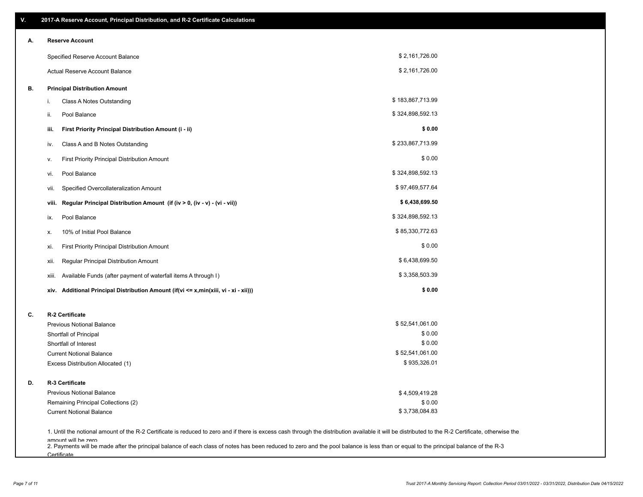| V. | 2017-A Reserve Account, Principal Distribution, and R-2 Certificate Calculations     |                                                                                                                                                                                                    |  |
|----|--------------------------------------------------------------------------------------|----------------------------------------------------------------------------------------------------------------------------------------------------------------------------------------------------|--|
| А. | <b>Reserve Account</b>                                                               |                                                                                                                                                                                                    |  |
|    | Specified Reserve Account Balance                                                    | \$2,161,726.00                                                                                                                                                                                     |  |
|    | Actual Reserve Account Balance                                                       | \$2,161,726.00                                                                                                                                                                                     |  |
| В. | <b>Principal Distribution Amount</b>                                                 |                                                                                                                                                                                                    |  |
|    | Class A Notes Outstanding<br>i.                                                      | \$183,867,713.99                                                                                                                                                                                   |  |
|    | Pool Balance<br>ii.                                                                  | \$324,898,592.13                                                                                                                                                                                   |  |
|    | First Priority Principal Distribution Amount (i - ii)<br>iii.                        | \$0.00                                                                                                                                                                                             |  |
|    | Class A and B Notes Outstanding<br>iv.                                               | \$233,867,713.99                                                                                                                                                                                   |  |
|    | First Priority Principal Distribution Amount<br>۷.                                   | \$0.00                                                                                                                                                                                             |  |
|    | Pool Balance<br>vi.                                                                  | \$324,898,592.13                                                                                                                                                                                   |  |
|    | Specified Overcollateralization Amount<br>vii.                                       | \$97,469,577.64                                                                                                                                                                                    |  |
|    | Regular Principal Distribution Amount (if (iv > 0, (iv - v) - (vi - vii))<br>viii.   | \$6,438,699.50                                                                                                                                                                                     |  |
|    | Pool Balance<br>ix.                                                                  | \$324,898,592.13                                                                                                                                                                                   |  |
|    | 10% of Initial Pool Balance<br>х.                                                    | \$85,330,772.63                                                                                                                                                                                    |  |
|    | First Priority Principal Distribution Amount<br>xi.                                  | \$0.00                                                                                                                                                                                             |  |
|    | Regular Principal Distribution Amount<br>xii.                                        | \$6,438,699.50                                                                                                                                                                                     |  |
|    | Available Funds (after payment of waterfall items A through I)<br>xiii.              | \$3,358,503.39                                                                                                                                                                                     |  |
|    | xiv. Additional Principal Distribution Amount (if(vi <= x,min(xiii, vi - xi - xii))) | \$0.00                                                                                                                                                                                             |  |
| C. | R-2 Certificate                                                                      |                                                                                                                                                                                                    |  |
|    | <b>Previous Notional Balance</b>                                                     | \$52,541,061.00                                                                                                                                                                                    |  |
|    | Shortfall of Principal                                                               | \$0.00                                                                                                                                                                                             |  |
|    | Shortfall of Interest                                                                | \$0.00                                                                                                                                                                                             |  |
|    | <b>Current Notional Balance</b><br>Excess Distribution Allocated (1)                 | \$52,541,061.00<br>\$935,326.01                                                                                                                                                                    |  |
|    |                                                                                      |                                                                                                                                                                                                    |  |
| D. | R-3 Certificate                                                                      |                                                                                                                                                                                                    |  |
|    | <b>Previous Notional Balance</b>                                                     | \$4,509,419.28                                                                                                                                                                                     |  |
|    | Remaining Principal Collections (2)                                                  | \$0.00                                                                                                                                                                                             |  |
|    | <b>Current Notional Balance</b>                                                      | \$3,738,084.83                                                                                                                                                                                     |  |
|    |                                                                                      | 1. Until the notional amount of the R-2 Certificate is reduced to zero and if there is excess cash through the distribution available it will be distributed to the R-2 Certificate, otherwise the |  |
|    | amount will be zero                                                                  | 2. Payments will be made after the principal balance of each class of notes has been reduced to zero and the pool balance is less than or equal to the principal balance of the R-3                |  |

**Certificate**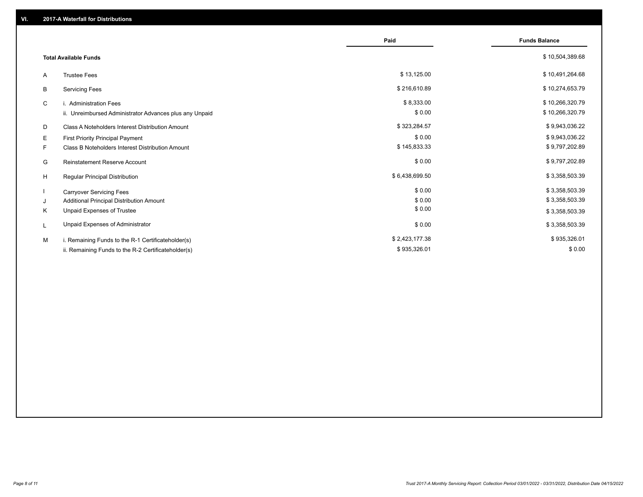|                                                              | Paid           | <b>Funds Balance</b> |
|--------------------------------------------------------------|----------------|----------------------|
| <b>Total Available Funds</b>                                 |                | \$10,504,389.68      |
| <b>Trustee Fees</b><br>A                                     | \$13,125.00    | \$10,491,264.68      |
| B<br><b>Servicing Fees</b>                                   | \$216,610.89   | \$10,274,653.79      |
| C<br>i. Administration Fees                                  | \$8,333.00     | \$10,266,320.79      |
| ii. Unreimbursed Administrator Advances plus any Unpaid      | \$0.00         | \$10,266,320.79      |
| D<br>Class A Noteholders Interest Distribution Amount        | \$323,284.57   | \$9,943,036.22       |
| E.<br><b>First Priority Principal Payment</b>                | \$0.00         | \$9,943,036.22       |
| F<br><b>Class B Noteholders Interest Distribution Amount</b> | \$145,833.33   | \$9,797,202.89       |
| <b>Reinstatement Reserve Account</b><br>G                    | \$0.00         | \$9,797,202.89       |
| H<br><b>Regular Principal Distribution</b>                   | \$6,438,699.50 | \$3,358,503.39       |
| <b>Carryover Servicing Fees</b>                              | \$0.00         | \$3,358,503.39       |
| Additional Principal Distribution Amount<br>J                | \$0.00         | \$3,358,503.39       |
| Unpaid Expenses of Trustee<br>Κ                              | \$0.00         | \$3,358,503.39       |
| Unpaid Expenses of Administrator<br>L                        | \$0.00         | \$3,358,503.39       |
| M<br>i. Remaining Funds to the R-1 Certificateholder(s)      | \$2,423,177.38 | \$935,326.01         |
| ii. Remaining Funds to the R-2 Certificateholder(s)          | \$935,326.01   | \$0.00               |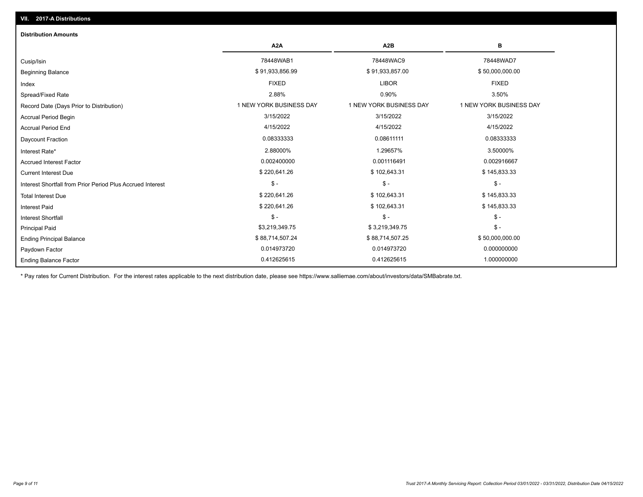| <b>Distribution Amounts</b>                                |                         |                         |                         |
|------------------------------------------------------------|-------------------------|-------------------------|-------------------------|
|                                                            | A <sub>2</sub> A        | A2B                     | в                       |
| Cusip/Isin                                                 | 78448WAB1               | 78448WAC9               | 78448WAD7               |
| <b>Beginning Balance</b>                                   | \$91,933,856.99         | \$91,933,857.00         | \$50,000,000.00         |
| Index                                                      | <b>FIXED</b>            | <b>LIBOR</b>            | <b>FIXED</b>            |
| Spread/Fixed Rate                                          | 2.88%                   | 0.90%                   | 3.50%                   |
| Record Date (Days Prior to Distribution)                   | 1 NEW YORK BUSINESS DAY | 1 NEW YORK BUSINESS DAY | 1 NEW YORK BUSINESS DAY |
| <b>Accrual Period Begin</b>                                | 3/15/2022               | 3/15/2022               | 3/15/2022               |
| <b>Accrual Period End</b>                                  | 4/15/2022               | 4/15/2022               | 4/15/2022               |
| <b>Daycount Fraction</b>                                   | 0.08333333              | 0.08611111              | 0.08333333              |
| Interest Rate*                                             | 2.88000%                | 1.29657%                | 3.50000%                |
| <b>Accrued Interest Factor</b>                             | 0.002400000             | 0.001116491             | 0.002916667             |
| <b>Current Interest Due</b>                                | \$220,641.26            | \$102,643.31            | \$145,833.33            |
| Interest Shortfall from Prior Period Plus Accrued Interest | $\mathsf{\$}$ -         | $\mathcal{S}$ -         | $$ -$                   |
| <b>Total Interest Due</b>                                  | \$220,641.26            | \$102,643.31            | \$145,833.33            |
| <b>Interest Paid</b>                                       | \$220,641.26            | \$102,643.31            | \$145,833.33            |
| <b>Interest Shortfall</b>                                  | $\mathsf{\$}$ -         | $\mathsf{\$}$ -         | $$ -$                   |
| <b>Principal Paid</b>                                      | \$3,219,349.75          | \$3,219,349.75          | $$ -$                   |
| <b>Ending Principal Balance</b>                            | \$88,714,507.24         | \$88,714,507.25         | \$50,000,000.00         |
| Paydown Factor                                             | 0.014973720             | 0.014973720             | 0.000000000             |
| <b>Ending Balance Factor</b>                               | 0.412625615             | 0.412625615             | 1.000000000             |

\* Pay rates for Current Distribution. For the interest rates applicable to the next distribution date, please see https://www.salliemae.com/about/investors/data/SMBabrate.txt.

**VII. 2017-A Distributions**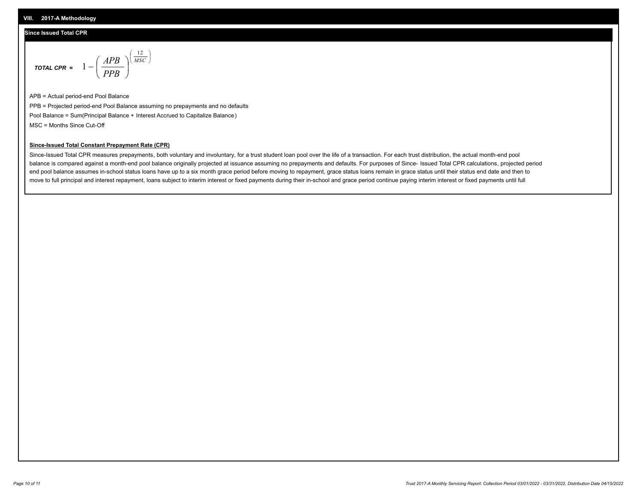### **Since Issued Total CPR**

$$
\text{total cPR} = 1 - \left(\frac{APB}{PPB}\right)^{\left(\frac{12}{MSC}\right)}
$$

APB = Actual period-end Pool Balance PPB = Projected period-end Pool Balance assuming no prepayments and no defaults Pool Balance = Sum(Principal Balance + Interest Accrued to Capitalize Balance) MSC = Months Since Cut-Off

I J Ι

#### **Since-Issued Total Constant Prepayment Rate (CPR)**

Since-Issued Total CPR measures prepayments, both voluntary and involuntary, for a trust student loan pool over the life of a transaction. For each trust distribution, the actual month-end pool balance is compared against a month-end pool balance originally projected at issuance assuming no prepayments and defaults. For purposes of Since- Issued Total CPR calculations, projected period end pool balance assumes in-school status loans have up to a six month grace period before moving to repayment, grace status loans remain in grace status until their status end date and then to move to full principal and interest repayment, loans subject to interim interest or fixed payments during their in-school and grace period continue paying interim interest or fixed payments until full